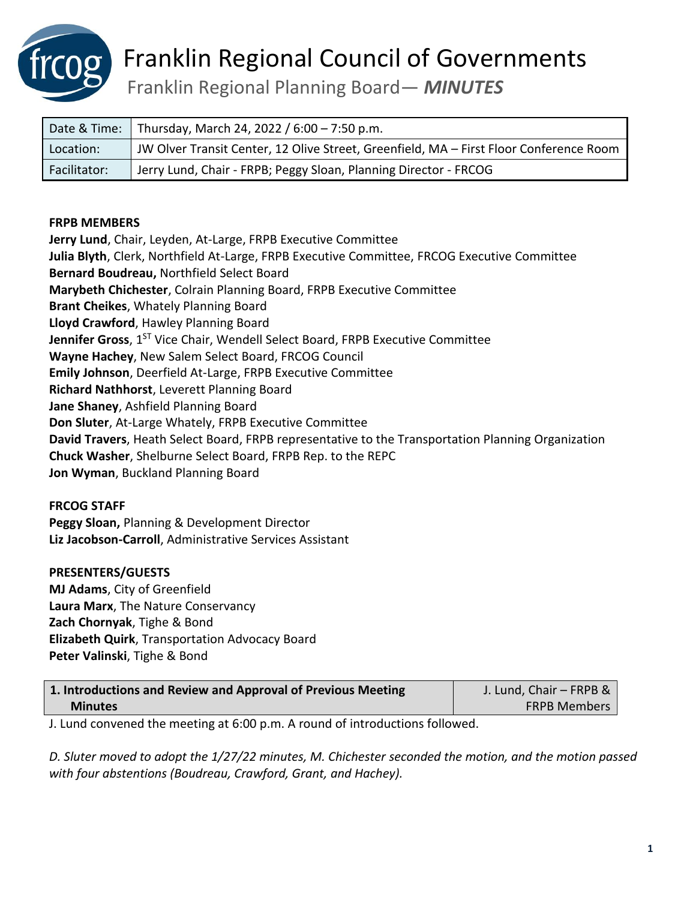

Franklin Regional Planning Board— *MINUTES*

| Date & Time: | Thursday, March 24, 2022 / 6:00 – 7:50 p.m.                                            |
|--------------|----------------------------------------------------------------------------------------|
| Location:    | JW Olver Transit Center, 12 Olive Street, Greenfield, MA - First Floor Conference Room |
| Facilitator: | Jerry Lund, Chair - FRPB; Peggy Sloan, Planning Director - FRCOG                       |

#### **FRPB MEMBERS**

**Jerry Lund**, Chair, Leyden, At-Large, FRPB Executive Committee **Julia Blyth**, Clerk, Northfield At-Large, FRPB Executive Committee, FRCOG Executive Committee **Bernard Boudreau,** Northfield Select Board **Marybeth Chichester**, Colrain Planning Board, FRPB Executive Committee **Brant Cheikes**, Whately Planning Board **Lloyd Crawford**, Hawley Planning Board **Jennifer Gross**, 1<sup>st</sup> Vice Chair, Wendell Select Board, FRPB Executive Committee **Wayne Hachey**, New Salem Select Board, FRCOG Council **Emily Johnson**, Deerfield At-Large, FRPB Executive Committee **Richard Nathhorst**, Leverett Planning Board **Jane Shaney**, Ashfield Planning Board **Don Sluter**, At-Large Whately, FRPB Executive Committee **David Travers**, Heath Select Board, FRPB representative to the Transportation Planning Organization **Chuck Washer**, Shelburne Select Board, FRPB Rep. to the REPC **Jon Wyman**, Buckland Planning Board

#### **FRCOG STAFF**

**Peggy Sloan,** Planning & Development Director **Liz Jacobson-Carroll**, Administrative Services Assistant

### **PRESENTERS/GUESTS**

**MJ Adams**, City of Greenfield **Laura Marx**, The Nature Conservancy **Zach Chornyak**, Tighe & Bond **Elizabeth Quirk**, Transportation Advocacy Board **Peter Valinski**, Tighe & Bond

| 1. Introductions and Review and Approval of Previous Meeting | J. Lund, Chair - FRPB & |
|--------------------------------------------------------------|-------------------------|
| <b>Minutes</b>                                               | <b>FRPB Members</b>     |

J. Lund convened the meeting at 6:00 p.m. A round of introductions followed.

*D. Sluter moved to adopt the 1/27/22 minutes, M. Chichester seconded the motion, and the motion passed with four abstentions (Boudreau, Crawford, Grant, and Hachey).*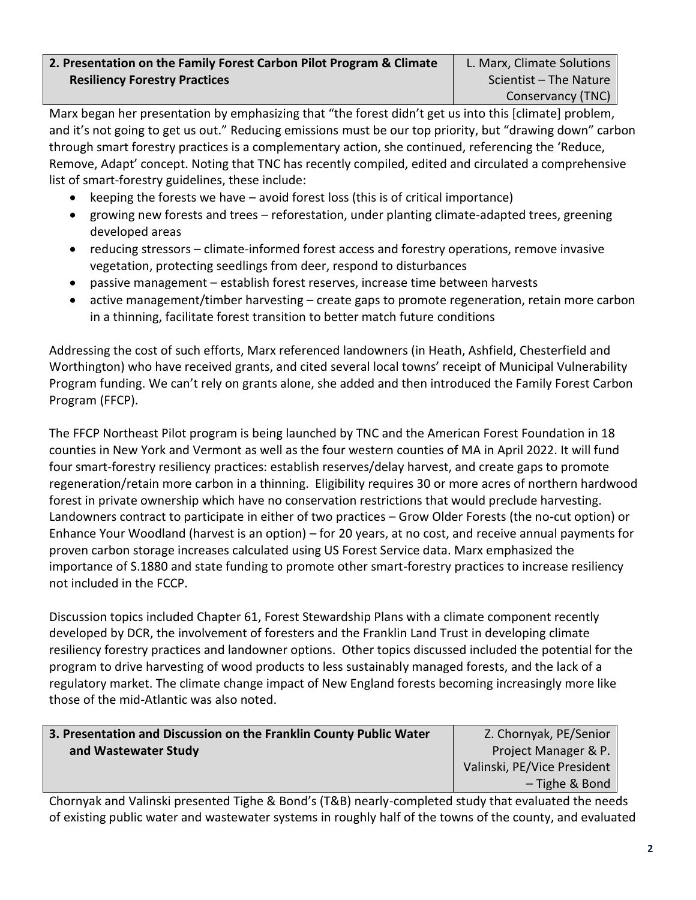## **2. Presentation on the Family Forest Carbon Pilot Program & Climate Resiliency Forestry Practices**

Marx began her presentation by emphasizing that "the forest didn't get us into this [climate] problem, and it's not going to get us out." Reducing emissions must be our top priority, but "drawing down" carbon through smart forestry practices is a complementary action, she continued, referencing the 'Reduce, Remove, Adapt' concept. Noting that TNC has recently compiled, edited and circulated a comprehensive list of smart-forestry guidelines, these include:

- keeping the forests we have avoid forest loss (this is of critical importance)
- growing new forests and trees reforestation, under planting climate-adapted trees, greening developed areas
- reducing stressors climate-informed forest access and forestry operations, remove invasive vegetation, protecting seedlings from deer, respond to disturbances
- passive management establish forest reserves, increase time between harvests
- active management/timber harvesting create gaps to promote regeneration, retain more carbon in a thinning, facilitate forest transition to better match future conditions

Addressing the cost of such efforts, Marx referenced landowners (in Heath, Ashfield, Chesterfield and Worthington) who have received grants, and cited several local towns' receipt of Municipal Vulnerability Program funding. We can't rely on grants alone, she added and then introduced the Family Forest Carbon Program (FFCP).

The FFCP Northeast Pilot program is being launched by TNC and the American Forest Foundation in 18 counties in New York and Vermont as well as the four western counties of MA in April 2022. It will fund four smart-forestry resiliency practices: establish reserves/delay harvest, and create gaps to promote regeneration/retain more carbon in a thinning. Eligibility requires 30 or more acres of northern hardwood forest in private ownership which have no conservation restrictions that would preclude harvesting. Landowners contract to participate in either of two practices – Grow Older Forests (the no-cut option) or Enhance Your Woodland (harvest is an option) – for 20 years, at no cost, and receive annual payments for proven carbon storage increases calculated using US Forest Service data. Marx emphasized the importance of S.1880 and state funding to promote other smart-forestry practices to increase resiliency not included in the FCCP.

Discussion topics included Chapter 61, Forest Stewardship Plans with a climate component recently developed by DCR, the involvement of foresters and the Franklin Land Trust in developing climate resiliency forestry practices and landowner options. Other topics discussed included the potential for the program to drive harvesting of wood products to less sustainably managed forests, and the lack of a regulatory market. The climate change impact of New England forests becoming increasingly more like those of the mid-Atlantic was also noted.

# **3. Presentation and Discussion on the Franklin County Public Water and Wastewater Study**

Z. Chornyak, PE/Senior Project Manager & P. Valinski, PE/Vice President – Tighe & Bond

Chornyak and Valinski presented Tighe & Bond's (T&B) nearly-completed study that evaluated the needs of existing public water and wastewater systems in roughly half of the towns of the county, and evaluated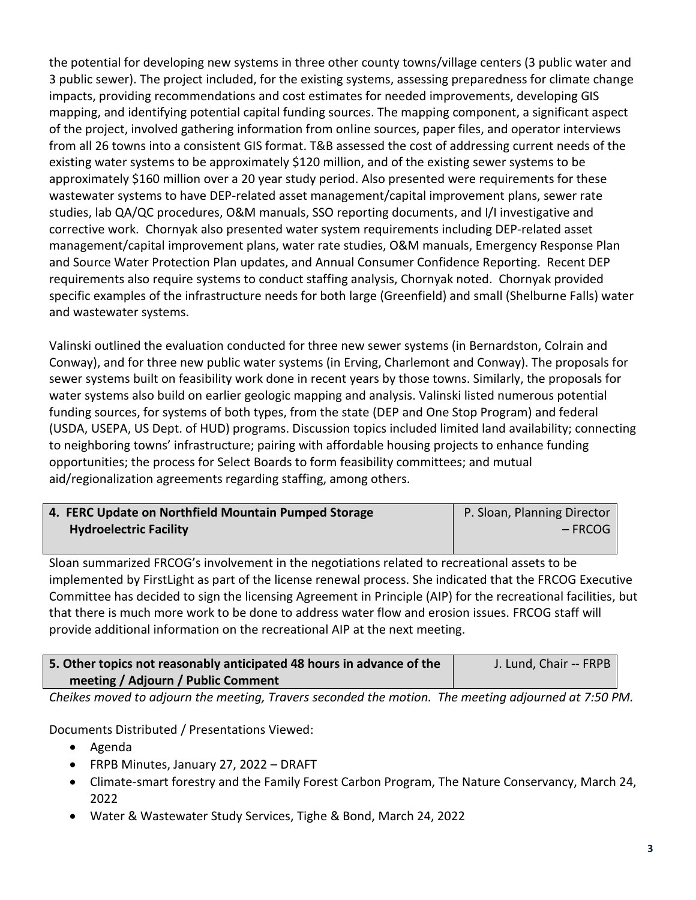the potential for developing new systems in three other county towns/village centers (3 public water and 3 public sewer). The project included, for the existing systems, assessing preparedness for climate change impacts, providing recommendations and cost estimates for needed improvements, developing GIS mapping, and identifying potential capital funding sources. The mapping component, a significant aspect of the project, involved gathering information from online sources, paper files, and operator interviews from all 26 towns into a consistent GIS format. T&B assessed the cost of addressing current needs of the existing water systems to be approximately \$120 million, and of the existing sewer systems to be approximately \$160 million over a 20 year study period. Also presented were requirements for these wastewater systems to have DEP-related asset management/capital improvement plans, sewer rate studies, lab QA/QC procedures, O&M manuals, SSO reporting documents, and I/I investigative and corrective work. Chornyak also presented water system requirements including DEP-related asset management/capital improvement plans, water rate studies, O&M manuals, Emergency Response Plan and Source Water Protection Plan updates, and Annual Consumer Confidence Reporting. Recent DEP requirements also require systems to conduct staffing analysis, Chornyak noted. Chornyak provided specific examples of the infrastructure needs for both large (Greenfield) and small (Shelburne Falls) water and wastewater systems.

Valinski outlined the evaluation conducted for three new sewer systems (in Bernardston, Colrain and Conway), and for three new public water systems (in Erving, Charlemont and Conway). The proposals for sewer systems built on feasibility work done in recent years by those towns. Similarly, the proposals for water systems also build on earlier geologic mapping and analysis. Valinski listed numerous potential funding sources, for systems of both types, from the state (DEP and One Stop Program) and federal (USDA, USEPA, US Dept. of HUD) programs. Discussion topics included limited land availability; connecting to neighboring towns' infrastructure; pairing with affordable housing projects to enhance funding opportunities; the process for Select Boards to form feasibility committees; and mutual aid/regionalization agreements regarding staffing, among others.

| 4. FERC Update on Northfield Mountain Pumped Storage | P. Sloan, Planning Director |
|------------------------------------------------------|-----------------------------|
| <b>Hydroelectric Facility</b>                        | $-$ FRCOG                   |
|                                                      |                             |

Sloan summarized FRCOG's involvement in the negotiations related to recreational assets to be implemented by FirstLight as part of the license renewal process. She indicated that the FRCOG Executive Committee has decided to sign the licensing Agreement in Principle (AIP) for the recreational facilities, but that there is much more work to be done to address water flow and erosion issues. FRCOG staff will provide additional information on the recreational AIP at the next meeting.

| 5. Other topics not reasonably anticipated 48 hours in advance of the | J. Lund, Chair -- FRPB |
|-----------------------------------------------------------------------|------------------------|
| meeting / Adjourn / Public Comment                                    |                        |

*Cheikes moved to adjourn the meeting, Travers seconded the motion. The meeting adjourned at 7:50 PM.*

Documents Distributed / Presentations Viewed:

- Agenda
- FRPB Minutes, January 27, 2022 DRAFT
- Climate-smart forestry and the Family Forest Carbon Program, The Nature Conservancy, March 24, 2022
- Water & Wastewater Study Services, Tighe & Bond, March 24, 2022